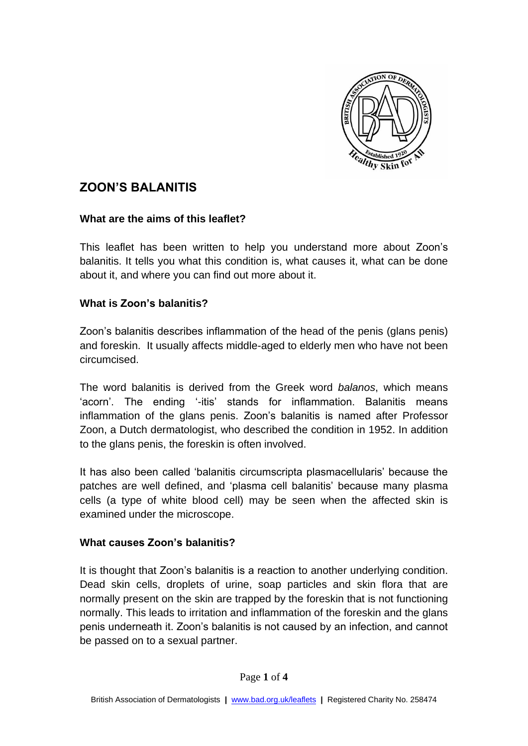

# **ZOON'S BALANITIS**

#### **What are the aims of this leaflet?**

This leaflet has been written to help you understand more about Zoon's balanitis. It tells you what this condition is, what causes it, what can be done about it, and where you can find out more about it.

# **What is Zoon's balanitis?**

Zoon's balanitis describes inflammation of the head of the penis (glans penis) and foreskin. It usually affects middle-aged to elderly men who have not been circumcised.

The word balanitis is derived from the Greek word *balanos*, which means 'acorn'. The ending '-itis' stands for inflammation. Balanitis means inflammation of the glans penis. Zoon's balanitis is named after Professor Zoon, a Dutch dermatologist, who described the condition in 1952. In addition to the glans penis, the foreskin is often involved.

It has also been called 'balanitis circumscripta plasmacellularis' because the patches are well defined, and 'plasma cell balanitis' because many plasma cells (a type of white blood cell) may be seen when the affected skin is examined under the microscope.

#### **What causes Zoon's balanitis?**

It is thought that Zoon's balanitis is a reaction to another underlying condition. Dead skin cells, droplets of urine, soap particles and skin flora that are normally present on the skin are trapped by the foreskin that is not functioning normally. This leads to irritation and inflammation of the foreskin and the glans penis underneath it. Zoon's balanitis is not caused by an infection, and cannot be passed on to a sexual partner.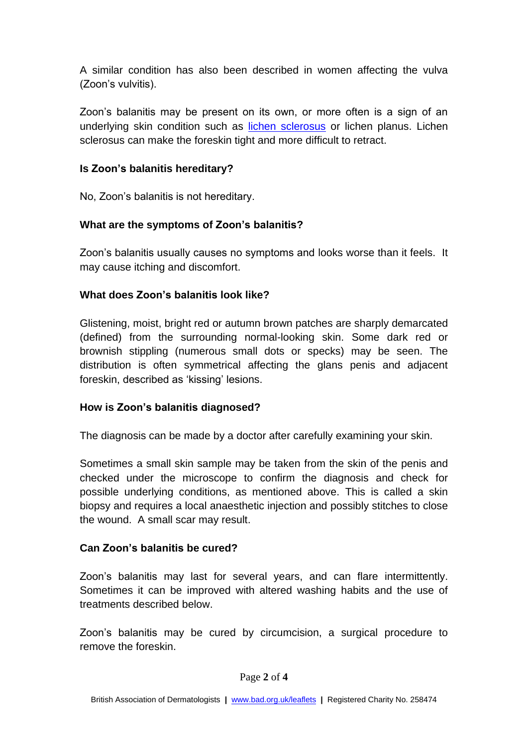A similar condition has also been described in women affecting the vulva (Zoon's vulvitis).

Zoon's balanitis may be present on its own, or more often is a sign of an underlying skin condition such as [lichen sclerosus](http://www.bad.org.uk/for-the-public/patient-information-leaflets/male-genital-lichen-sclerosus) or lichen planus. Lichen sclerosus can make the foreskin tight and more difficult to retract.

# **Is Zoon's balanitis hereditary?**

No, Zoon's balanitis is not hereditary.

# **What are the symptoms of Zoon's balanitis?**

Zoon's balanitis usually causes no symptoms and looks worse than it feels. It may cause itching and discomfort.

# **What does Zoon's balanitis look like?**

Glistening, moist, bright red or autumn brown patches are sharply demarcated (defined) from the surrounding normal-looking skin. Some dark red or brownish stippling (numerous small dots or specks) may be seen. The distribution is often symmetrical affecting the glans penis and adjacent foreskin, described as 'kissing' lesions.

# **How is Zoon's balanitis diagnosed?**

The diagnosis can be made by a doctor after carefully examining your skin.

Sometimes a small skin sample may be taken from the skin of the penis and checked under the microscope to confirm the diagnosis and check for possible underlying conditions, as mentioned above. This is called a skin biopsy and requires a local anaesthetic injection and possibly stitches to close the wound. A small scar may result.

# **Can Zoon's balanitis be cured?**

Zoon's balanitis may last for several years, and can flare intermittently. Sometimes it can be improved with altered washing habits and the use of treatments described below.

Zoon's balanitis may be cured by circumcision, a surgical procedure to remove the foreskin.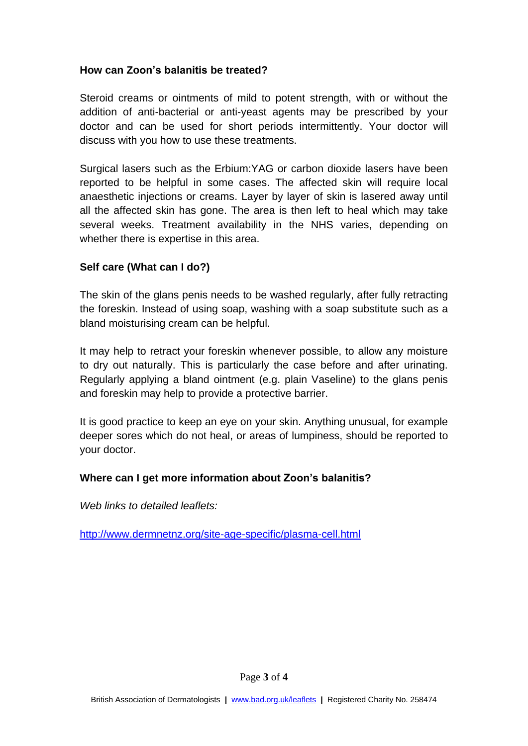# **How can Zoon's balanitis be treated?**

Steroid creams or ointments of mild to potent strength, with or without the addition of anti-bacterial or anti-yeast agents may be prescribed by your doctor and can be used for short periods intermittently. Your doctor will discuss with you how to use these treatments.

Surgical lasers such as the Erbium:YAG or carbon dioxide lasers have been reported to be helpful in some cases. The affected skin will require local anaesthetic injections or creams. Layer by layer of skin is lasered away until all the affected skin has gone. The area is then left to heal which may take several weeks. Treatment availability in the NHS varies, depending on whether there is expertise in this area.

# **Self care (What can I do?)**

The skin of the glans penis needs to be washed regularly, after fully retracting the foreskin. Instead of using soap, washing with a soap substitute such as a bland moisturising cream can be helpful.

It may help to retract your foreskin whenever possible, to allow any moisture to dry out naturally. This is particularly the case before and after urinating. Regularly applying a bland ointment (e.g. plain Vaseline) to the glans penis and foreskin may help to provide a protective barrier.

It is good practice to keep an eye on your skin. Anything unusual, for example deeper sores which do not heal, or areas of lumpiness, should be reported to your doctor.

# **Where can I get more information about Zoon's balanitis?**

*Web links to detailed leaflets:*

<http://www.dermnetnz.org/site-age-specific/plasma-cell.html>